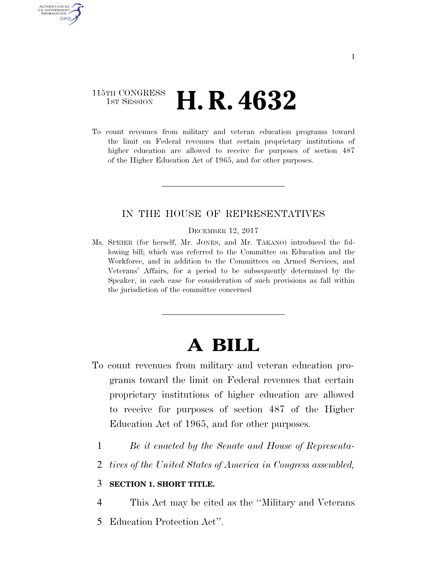## 115TH CONGRESS **1st Session H. R. 4632**

U.S. GOVERNMENT **GPO** 

> To count revenues from military and veteran education programs toward the limit on Federal revenues that certain proprietary institutions of higher education are allowed to receive for purposes of section 487 of the Higher Education Act of 1965, and for other purposes.

## IN THE HOUSE OF REPRESENTATIVES

#### DECEMBER 12, 2017

Ms. SPEIER (for herself, Mr. JONES, and Mr. TAKANO) introduced the following bill; which was referred to the Committee on Education and the Workforce, and in addition to the Committees on Armed Services, and Veterans' Affairs, for a period to be subsequently determined by the Speaker, in each case for consideration of such provisions as fall within the jurisdiction of the committee concerned

# **A BILL**

- To count revenues from military and veteran education programs toward the limit on Federal revenues that certain proprietary institutions of higher education are allowed to receive for purposes of section 487 of the Higher Education Act of 1965, and for other purposes.
	- 1 *Be it enacted by the Senate and House of Representa-*
	- 2 *tives of the United States of America in Congress assembled,*

### 3 **SECTION 1. SHORT TITLE.**

- 4 This Act may be cited as the ''Military and Veterans
- 5 Education Protection Act''.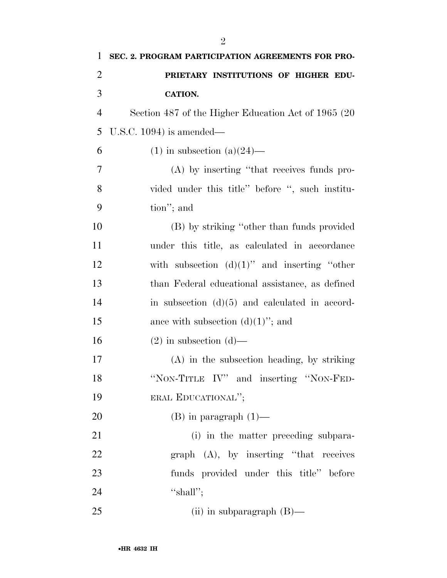| $\mathbf{1}$   | SEC. 2. PROGRAM PARTICIPATION AGREEMENTS FOR PRO-   |
|----------------|-----------------------------------------------------|
| $\overline{c}$ | PRIETARY INSTITUTIONS OF HIGHER EDU-                |
| 3              | <b>CATION.</b>                                      |
| $\overline{4}$ | Section 487 of the Higher Education Act of 1965 (20 |
| 5              | U.S.C. 1094) is amended—                            |
| 6              | $(1)$ in subsection $(a)(24)$ —                     |
| 7              | (A) by inserting "that receives funds pro-          |
| 8              | vided under this title" before ", such institu-     |
| 9              | tion"; and                                          |
| 10             | (B) by striking "other than funds provided          |
| 11             | under this title, as calculated in accordance       |
| 12             | with subsection $(d)(1)$ " and inserting "other     |
| 13             | than Federal educational assistance, as defined     |
| 14             | in subsection $(d)(5)$ and calculated in accord-    |
| 15             | ance with subsection $(d)(1)$ "; and                |
| 16             | $(2)$ in subsection $(d)$ —                         |
| 17             | $(A)$ in the subsection heading, by striking        |
| 18             | "NON-TITLE IV" and inserting "NON-FED-              |
| 19             | ERAL EDUCATIONAL";                                  |
| 20             | $(B)$ in paragraph $(1)$ —                          |
| 21             | (i) in the matter preceding subpara-                |
| 22             | $graph$ $(A)$ , by inserting "that receives"        |
| 23             | funds provided under this title" before             |
| 24             | "shall";                                            |
| 25             | (ii) in subparagraph $(B)$ —                        |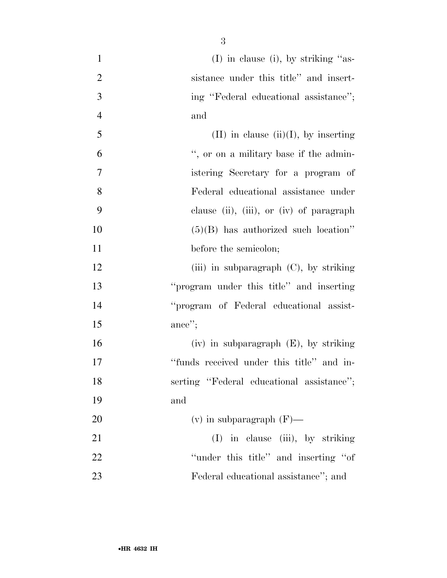| $\mathbf{1}$   | $(I)$ in clause (i), by striking "as-      |
|----------------|--------------------------------------------|
| $\overline{2}$ | sistance under this title" and insert-     |
| 3              | ing "Federal educational assistance";      |
| $\overline{4}$ | and                                        |
| 5              | $(II)$ in clause $(ii)(I)$ , by inserting  |
| 6              | ", or on a military base if the admin-     |
| 7              | istering Secretary for a program of        |
| 8              | Federal educational assistance under       |
| 9              | clause (ii), (iii), or (iv) of paragraph   |
| 10             | $(5)(B)$ has authorized such location"     |
| 11             | before the semicolon;                      |
| 12             | (iii) in subparagraph $(C)$ , by striking  |
| 13             | "program under this title" and inserting   |
| 14             | "program of Federal educational assist-    |
| 15             | ance";                                     |
| 16             | $(iv)$ in subparagraph $(E)$ , by striking |
| 17             | "funds received under this title" and in-  |
| 18             | serting "Federal educational assistance";  |
| 19             | and                                        |
| 20             | $(v)$ in subparagraph $(F)$ —              |
| 21             | (I) in clause (iii), by striking           |
| 22             | "under this title" and inserting "of"      |
| 23             | Federal educational assistance"; and       |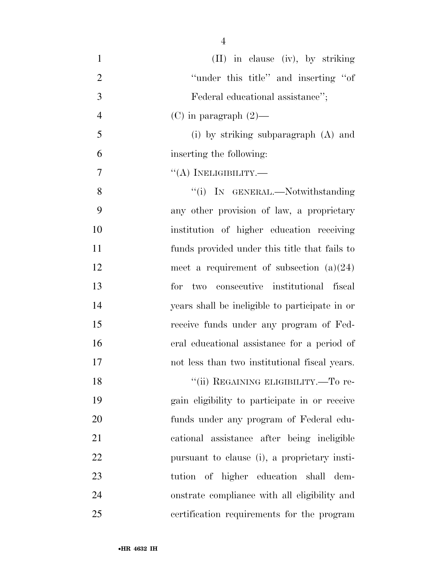| $\mathbf{1}$   | (II) in clause (iv), by striking               |
|----------------|------------------------------------------------|
| $\overline{2}$ | "under this title" and inserting "of"          |
| 3              | Federal educational assistance";               |
| $\overline{4}$ | $(C)$ in paragraph $(2)$ —                     |
| 5              | (i) by striking subparagraph (A) and           |
| 6              | inserting the following:                       |
| 7              | $\lq\lq$ (A) INELIGIBILITY.—                   |
| 8              | "(i) IN GENERAL.—Notwithstanding               |
| 9              | any other provision of law, a proprietary      |
| 10             | institution of higher education receiving      |
| 11             | funds provided under this title that fails to  |
| 12             | meet a requirement of subsection $(a)(24)$     |
| 13             | for two consecutive institutional fiscal       |
| 14             | years shall be ineligible to participate in or |
| 15             | receive funds under any program of Fed-        |
| 16             | eral educational assistance for a period of    |
| 17             | not less than two institutional fiscal years.  |
| 18             | "(ii) REGAINING ELIGIBILITY.—To re-            |
| 19             | gain eligibility to participate in or receive  |
| 20             | funds under any program of Federal edu-        |
| 21             | cational assistance after being ineligible     |
| 22             | pursuant to clause (i), a proprietary insti-   |
| 23             | tution of higher education shall dem-          |
| 24             | onstrate compliance with all eligibility and   |
| 25             | certification requirements for the program     |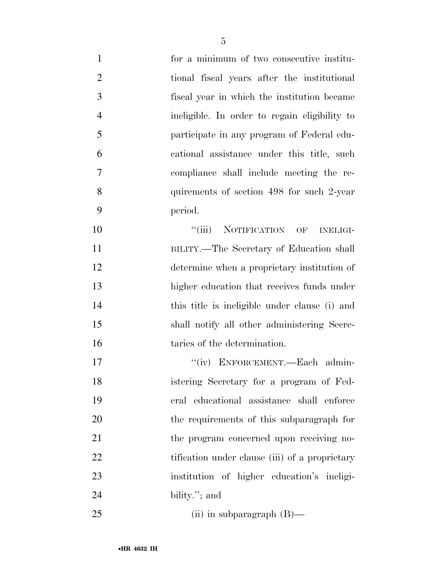| $\mathbf{1}$   | for a minimum of two consecutive institu-      |
|----------------|------------------------------------------------|
| $\overline{2}$ | tional fiscal years after the institutional    |
| 3              | fiscal year in which the institution became    |
| $\overline{4}$ | ineligible. In order to regain eligibility to  |
| 5              | participate in any program of Federal edu-     |
| 6              | cational assistance under this title, such     |
| $\tau$         | compliance shall include meeting the re-       |
| 8              | quirements of section 498 for such 2-year      |
| 9              | period.                                        |
| 10             | ``(iii)<br>NOTIFICATION OF<br><b>INELIGI-</b>  |
| 11             | BILITY.—The Secretary of Education shall       |
| 12             | determine when a proprietary institution of    |
| 13             | higher education that receives funds under     |
| 14             | this title is ineligible under clause (i) and  |
| 15             | shall notify all other administering Secre-    |
| 16             | taries of the determination.                   |
| 17             | "(iv) ENFORCEMENT.—Each admin-                 |
| 18             | istering Secretary for a program of Fed-       |
| 19             | eral educational assistance shall enforce      |
| 20             | the requirements of this subparagraph for      |
| 21             | the program concerned upon receiving no-       |
| 22             | tification under clause (iii) of a proprietary |
| 23             | institution of higher education's ineligi-     |
| 24             | bility."; and                                  |
|                |                                                |

(ii) in subparagraph (B)—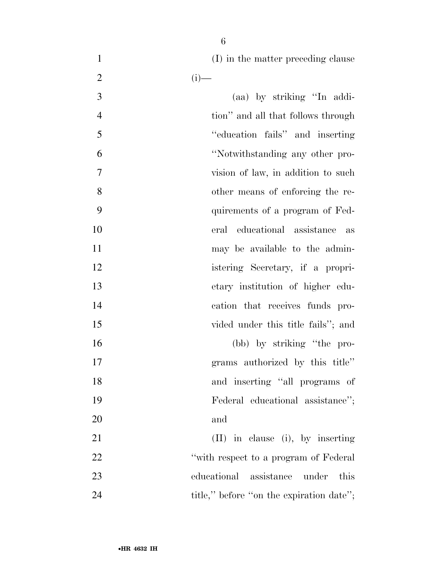1 (I) in the matter preceding clause

| $\mathfrak{2}$ | $(i)$ —                                  |
|----------------|------------------------------------------|
| 3              | (aa) by striking "In addi-               |
| $\overline{4}$ | tion" and all that follows through       |
| 5              | "education fails" and inserting          |
| 6              | "Notwithstanding any other pro-          |
| 7              | vision of law, in addition to such       |
| 8              | other means of enforcing the re-         |
| 9              | quirements of a program of Fed-          |
| 10             | eral educational assistance<br>as        |
| 11             | may be available to the admin-           |
| 12             | istering Secretary, if a propri-         |
| 13             | etary institution of higher edu-         |
| 14             | cation that receives funds pro-          |
| 15             | vided under this title fails"; and       |
| 16             | (bb) by striking "the pro-               |
| 17             | grams authorized by this title"          |
| 18             | and inserting "all programs of           |
| 19             | Federal educational assistance";         |
| 20             | and                                      |
| 21             | (II) in clause (i), by inserting         |
| 22             | "with respect to a program of Federal"   |
| 23             | educational assistance<br>under<br>this  |
| 24             | title," before "on the expiration date"; |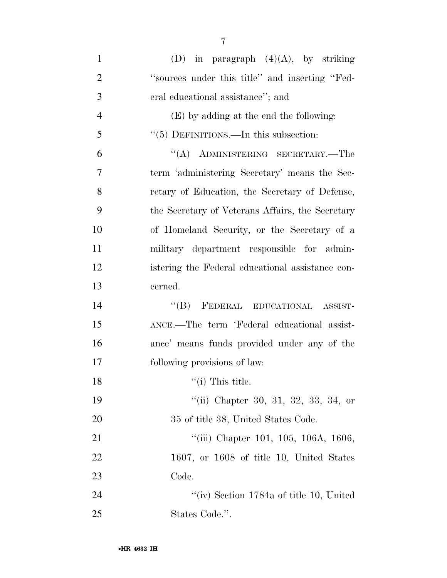| $\mathbf{1}$   | (D) in paragraph $(4)(A)$ , by striking          |
|----------------|--------------------------------------------------|
| $\overline{2}$ | "sources under this title" and inserting "Fed-   |
| 3              | eral educational assistance"; and                |
| $\overline{4}$ | (E) by adding at the end the following:          |
| 5              | "(5) DEFINITIONS.—In this subsection:            |
| 6              | "(A) ADMINISTERING SECRETARY.—The                |
| 7              | term 'administering Secretary' means the Sec-    |
| 8              | retary of Education, the Secretary of Defense,   |
| 9              | the Secretary of Veterans Affairs, the Secretary |
| 10             | of Homeland Security, or the Secretary of a      |
| 11             | military department responsible for admin-       |
| 12             | istering the Federal educational assistance con- |
| 13             | cerned.                                          |
| 14             | FEDERAL EDUCATIONAL ASSIST-<br>$\lq\lq (B)$      |
| 15             | ANCE.—The term 'Federal educational assist-      |
| 16             | ance' means funds provided under any of the      |
| 17             | following provisions of law:                     |
| 18             | $\lq($ i) This title.                            |
| 19             | "(ii) Chapter 30, 31, 32, 33, 34, or             |
| 20             | 35 of title 38, United States Code.              |
| 21             | "(iii) Chapter 101, 105, 106A, 1606,             |
| 22             | $1607$ , or $1608$ of title 10, United States    |
| 23             | Code.                                            |
| 24             | "(iv) Section $1784a$ of title 10, United        |
| 25             | States Code.".                                   |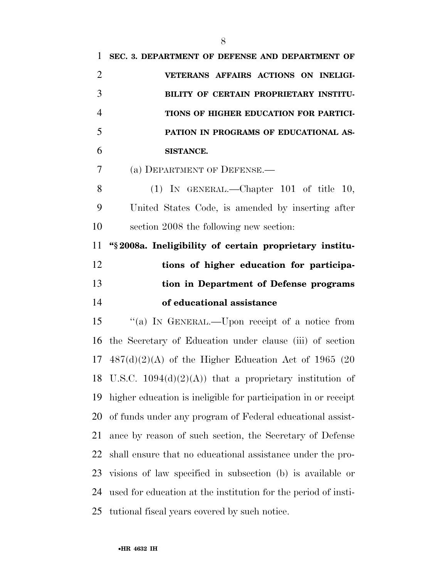| 1              | SEC. 3. DEPARTMENT OF DEFENSE AND DEPARTMENT OF                 |
|----------------|-----------------------------------------------------------------|
| $\overline{2}$ | VETERANS AFFAIRS ACTIONS ON INELIGI-                            |
| 3              | BILITY OF CERTAIN PROPRIETARY INSTITU-                          |
| $\overline{4}$ | TIONS OF HIGHER EDUCATION FOR PARTICI-                          |
| 5              | PATION IN PROGRAMS OF EDUCATIONAL AS-                           |
| 6              | SISTANCE.                                                       |
| 7              | (a) DEPARTMENT OF DEFENSE.—                                     |
| 8              | $(1)$ IN GENERAL.—Chapter 101 of title 10,                      |
| 9              | United States Code, is amended by inserting after               |
| 10             | section 2008 the following new section:                         |
| 11             | "§2008a. Ineligibility of certain proprietary institu-          |
| 12             | tions of higher education for participa-                        |
|                |                                                                 |
| 13             | tion in Department of Defense programs                          |
| 14             | of educational assistance                                       |
|                | "(a) IN GENERAL.—Upon receipt of a notice from                  |
| 15<br>16       | the Secretary of Education under clause (iii) of section        |
|                | $17 \quad 487(d)(2)(A)$ of the Higher Education Act of 1965 (20 |
|                | 18 U.S.C. $1094(d)(2)(A)$ that a proprietary institution of     |
| 19             | higher education is ineligible for participation in or receipt  |
| 20             | of funds under any program of Federal educational assist-       |
| 21             | ance by reason of such section, the Secretary of Defense        |
| 22             | shall ensure that no educational assistance under the pro-      |
| 23             | visions of law specified in subsection (b) is available or      |
| 24             | used for education at the institution for the period of insti-  |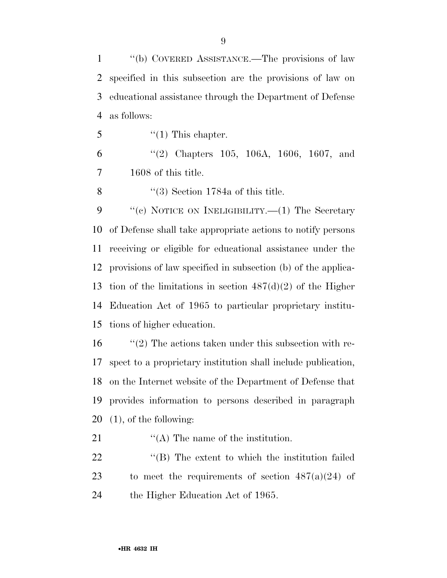''(b) COVERED ASSISTANCE.—The provisions of law specified in this subsection are the provisions of law on educational assistance through the Department of Defense as follows:

''(1) This chapter.

 ''(2) Chapters 105, 106A, 1606, 1607, and 1608 of this title.

8 ''(3) Section 1784a of this title.

9 "(c) NOTICE ON INELIGIBILITY.—(1) The Secretary of Defense shall take appropriate actions to notify persons receiving or eligible for educational assistance under the provisions of law specified in subsection (b) of the applica-13 tion of the limitations in section  $487(d)(2)$  of the Higher Education Act of 1965 to particular proprietary institu-tions of higher education.

 $\frac{1}{2}$  The actions taken under this subsection with re- spect to a proprietary institution shall include publication, on the Internet website of the Department of Defense that provides information to persons described in paragraph (1), of the following:

21  $\langle (A)$  The name of the institution.

22 ''(B) The extent to which the institution failed 23 to meet the requirements of section  $487(a)(24)$  of 24 the Higher Education Act of 1965.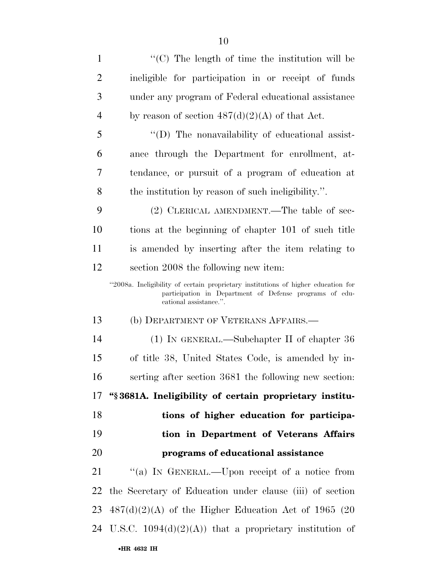| $\mathbf{1}$   | "(C) The length of time the institution will be                                                                                                                        |
|----------------|------------------------------------------------------------------------------------------------------------------------------------------------------------------------|
| $\overline{2}$ | ineligible for participation in or receipt of funds                                                                                                                    |
| 3              | under any program of Federal educational assistance                                                                                                                    |
| $\overline{4}$ | by reason of section $487(d)(2)(A)$ of that Act.                                                                                                                       |
| 5              | "(D) The nonavailability of educational assist-                                                                                                                        |
| 6              | ance through the Department for enrollment, at-                                                                                                                        |
| 7              | tendance, or pursuit of a program of education at                                                                                                                      |
| 8              | the institution by reason of such ineligibility.".                                                                                                                     |
| 9              | (2) CLERICAL AMENDMENT.—The table of sec-                                                                                                                              |
| 10             | tions at the beginning of chapter 101 of such title                                                                                                                    |
| 11             | is amended by inserting after the item relating to                                                                                                                     |
| 12             | section 2008 the following new item:                                                                                                                                   |
|                | "2008a. Ineligibility of certain proprietary institutions of higher education for<br>participation in Department of Defense programs of edu-<br>cational assistance.". |
| 13             | (b) DEPARTMENT OF VETERANS AFFAIRS.—                                                                                                                                   |
| 14             | $(1)$ IN GENERAL.—Subchapter II of chapter 36                                                                                                                          |
| 15             | of title 38, United States Code, is amended by in-                                                                                                                     |
| 16             | serting after section 3681 the following new section:                                                                                                                  |
|                | 17 "§3681A. Ineligibility of certain proprietary institu-                                                                                                              |
| 18             | tions of higher education for participa-                                                                                                                               |
| 19             | tion in Department of Veterans Affairs                                                                                                                                 |
| 20             | programs of educational assistance                                                                                                                                     |
| 21             | "(a) IN GENERAL.—Upon receipt of a notice from                                                                                                                         |
| 22             | the Secretary of Education under clause (iii) of section                                                                                                               |
|                | $23\quad 487(d)(2)(A)$ of the Higher Education Act of 1965 (20                                                                                                         |
|                | 24 U.S.C. $1094(d)(2)(A)$ that a proprietary institution of                                                                                                            |
|                | •HR 4632 IH                                                                                                                                                            |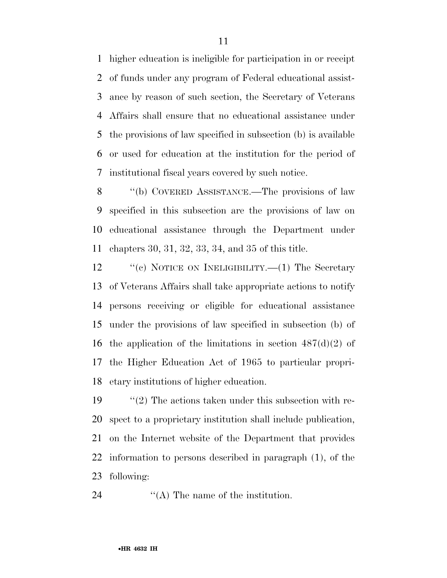higher education is ineligible for participation in or receipt of funds under any program of Federal educational assist- ance by reason of such section, the Secretary of Veterans Affairs shall ensure that no educational assistance under the provisions of law specified in subsection (b) is available or used for education at the institution for the period of institutional fiscal years covered by such notice.

 ''(b) COVERED ASSISTANCE.—The provisions of law specified in this subsection are the provisions of law on educational assistance through the Department under chapters 30, 31, 32, 33, 34, and 35 of this title.

12 "(c) NOTICE ON INELIGIBILITY.—(1) The Secretary of Veterans Affairs shall take appropriate actions to notify persons receiving or eligible for educational assistance under the provisions of law specified in subsection (b) of 16 the application of the limitations in section  $487(d)(2)$  of the Higher Education Act of 1965 to particular propri-etary institutions of higher education.

19 ''(2) The actions taken under this subsection with re- spect to a proprietary institution shall include publication, on the Internet website of the Department that provides information to persons described in paragraph (1), of the following:

24 ''(A) The name of the institution.